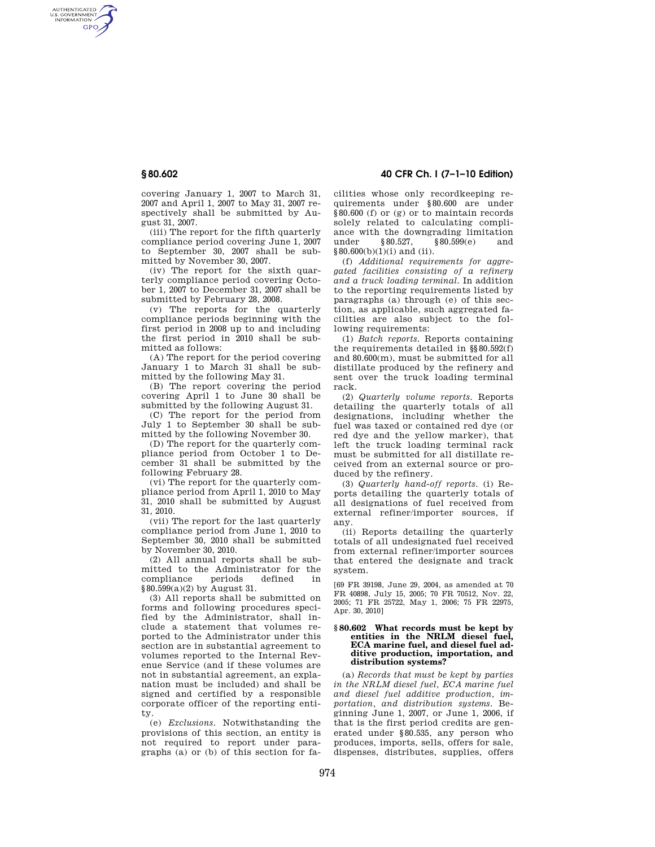AUTHENTICATED<br>U.S. GOVERNMENT<br>INFORMATION **GPO** 

> covering January 1, 2007 to March 31, 2007 and April 1, 2007 to May 31, 2007 respectively shall be submitted by August 31, 2007.

> (iii) The report for the fifth quarterly compliance period covering June 1, 2007 to September 30, 2007 shall be submitted by November 30, 2007.

> (iv) The report for the sixth quarterly compliance period covering October 1, 2007 to December 31, 2007 shall be submitted by February 28, 2008.

> (v) The reports for the quarterly compliance periods beginning with the first period in 2008 up to and including the first period in 2010 shall be submitted as follows:

> (A) The report for the period covering January 1 to March 31 shall be submitted by the following May 31.

> (B) The report covering the period covering April 1 to June 30 shall be submitted by the following August 31.

> (C) The report for the period from July 1 to September 30 shall be submitted by the following November 30.

> (D) The report for the quarterly compliance period from October 1 to December 31 shall be submitted by the following February 28.

> (vi) The report for the quarterly compliance period from April 1, 2010 to May 31, 2010 shall be submitted by August 31, 2010.

> (vii) The report for the last quarterly compliance period from June 1, 2010 to September 30, 2010 shall be submitted by November 30, 2010.

> (2) All annual reports shall be submitted to the Administrator for the compliance periods defined in §80.599(a)(2) by August 31.

> (3) All reports shall be submitted on forms and following procedures specified by the Administrator, shall include a statement that volumes reported to the Administrator under this section are in substantial agreement to volumes reported to the Internal Revenue Service (and if these volumes are not in substantial agreement, an explanation must be included) and shall be signed and certified by a responsible corporate officer of the reporting entity.

> (e) *Exclusions.* Notwithstanding the provisions of this section, an entity is not required to report under paragraphs (a) or (b) of this section for fa-

**§ 80.602 40 CFR Ch. I (7–1–10 Edition)** 

cilities whose only recordkeeping requirements under §80.600 are under §80.600 (f) or (g) or to maintain records solely related to calculating compliance with the downgrading limitation under §80.527, §80.599(e) and  $§80.600(b)(1)(i)$  and (ii).

(f) *Additional requirements for aggregated facilities consisting of a refinery and a truck loading terminal.* In addition to the reporting requirements listed by paragraphs (a) through (e) of this section, as applicable, such aggregated facilities are also subject to the following requirements:

(1) *Batch reports.* Reports containing the requirements detailed in §§80.592(f) and 80.600(m), must be submitted for all distillate produced by the refinery and sent over the truck loading terminal rack.

(2) *Quarterly volume reports.* Reports detailing the quarterly totals of all designations, including whether the fuel was taxed or contained red dye (or red dye and the yellow marker), that left the truck loading terminal rack must be submitted for all distillate received from an external source or produced by the refinery.

(3) *Quarterly hand-off reports.* (i) Reports detailing the quarterly totals of all designations of fuel received from external refiner/importer sources, if any.

(ii) Reports detailing the quarterly totals of all undesignated fuel received from external refiner/importer sources that entered the designate and track system.

[69 FR 39198, June 29, 2004, as amended at 70 FR 40898, July 15, 2005; 70 FR 70512, Nov. 22, 2005; 71 FR 25722, May 1, 2006; 75 FR 22975, Apr. 30, 2010]

## **§ 80.602 What records must be kept by entities in the NRLM diesel fuel, ECA marine fuel, and diesel fuel additive production, importation, and distribution systems?**

(a) *Records that must be kept by parties in the NRLM diesel fuel, ECA marine fuel and diesel fuel additive production, importation, and distribution systems.* Beginning June 1, 2007, or June 1, 2006, if that is the first period credits are generated under §80.535, any person who produces, imports, sells, offers for sale, dispenses, distributes, supplies, offers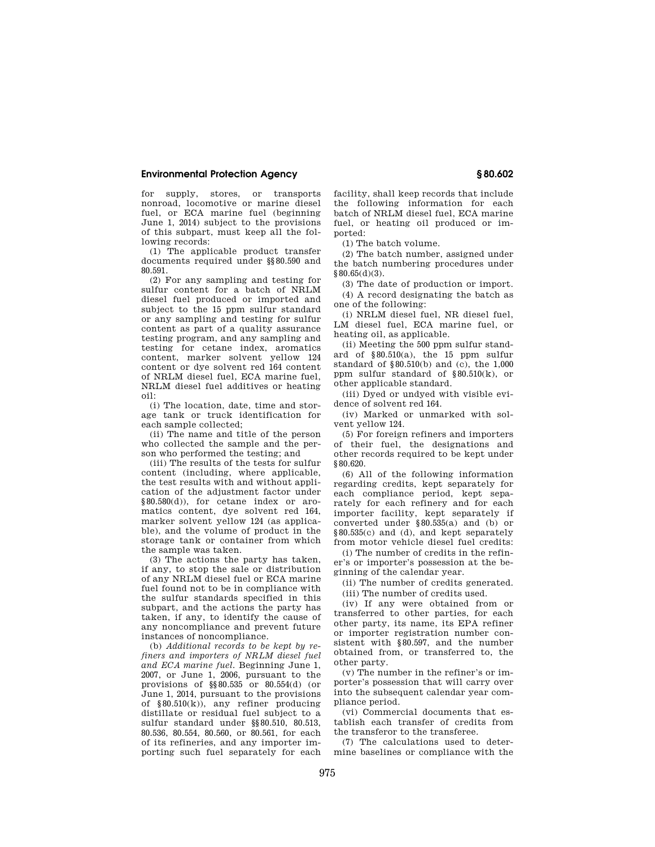## **Environmental Protection Agency § 80.602**

for supply, stores, or transports nonroad, locomotive or marine diesel fuel, or ECA marine fuel (beginning June 1, 2014) subject to the provisions of this subpart, must keep all the following records:

(1) The applicable product transfer documents required under §§80.590 and 80.591.

(2) For any sampling and testing for sulfur content for a batch of NRLM diesel fuel produced or imported and subject to the 15 ppm sulfur standard or any sampling and testing for sulfur content as part of a quality assurance testing program, and any sampling and testing for cetane index, aromatics content, marker solvent yellow 124 content or dye solvent red 164 content of NRLM diesel fuel, ECA marine fuel, NRLM diesel fuel additives or heating oil:

(i) The location, date, time and storage tank or truck identification for each sample collected;

(ii) The name and title of the person who collected the sample and the person who performed the testing; and

(iii) The results of the tests for sulfur content (including, where applicable, the test results with and without application of the adjustment factor under §80.580(d)), for cetane index or aromatics content, dye solvent red 164, marker solvent yellow 124 (as applicable), and the volume of product in the storage tank or container from which the sample was taken.

(3) The actions the party has taken, if any, to stop the sale or distribution of any NRLM diesel fuel or ECA marine fuel found not to be in compliance with the sulfur standards specified in this subpart, and the actions the party has taken, if any, to identify the cause of any noncompliance and prevent future instances of noncompliance.

(b) *Additional records to be kept by refiners and importers of NRLM diesel fuel and ECA marine fuel.* Beginning June 1, 2007, or June 1, 2006, pursuant to the provisions of §§80.535 or 80.554(d) (or June 1, 2014, pursuant to the provisions of §80.510(k)), any refiner producing distillate or residual fuel subject to a sulfur standard under §§80.510, 80.513, 80.536, 80.554, 80.560, or 80.561, for each of its refineries, and any importer importing such fuel separately for each

facility, shall keep records that include the following information for each batch of NRLM diesel fuel, ECA marine fuel, or heating oil produced or imported:

(1) The batch volume.

(2) The batch number, assigned under the batch numbering procedures under §80.65(d)(3).

(3) The date of production or import. (4) A record designating the batch as one of the following:

(i) NRLM diesel fuel, NR diesel fuel, LM diesel fuel, ECA marine fuel, or heating oil, as applicable.

(ii) Meeting the 500 ppm sulfur standard of  $§80.510(a)$ , the 15 ppm sulfur standard of  $§80.510(b)$  and (c), the 1,000 ppm sulfur standard of §80.510(k), or other applicable standard.

(iii) Dyed or undyed with visible evidence of solvent red 164.

(iv) Marked or unmarked with solvent yellow 124.

(5) For foreign refiners and importers of their fuel, the designations and other records required to be kept under §80.620.

(6) All of the following information regarding credits, kept separately for each compliance period, kept separately for each refinery and for each importer facility, kept separately if converted under §80.535(a) and (b) or §80.535(c) and (d), and kept separately from motor vehicle diesel fuel credits:

(i) The number of credits in the refiner's or importer's possession at the beginning of the calendar year.

(ii) The number of credits generated. (iii) The number of credits used.

(iv) If any were obtained from or transferred to other parties, for each other party, its name, its EPA refiner or importer registration number consistent with §80.597, and the number obtained from, or transferred to, the other party.

(v) The number in the refiner's or importer's possession that will carry over into the subsequent calendar year compliance period.

(vi) Commercial documents that establish each transfer of credits from the transferor to the transferee.

(7) The calculations used to determine baselines or compliance with the